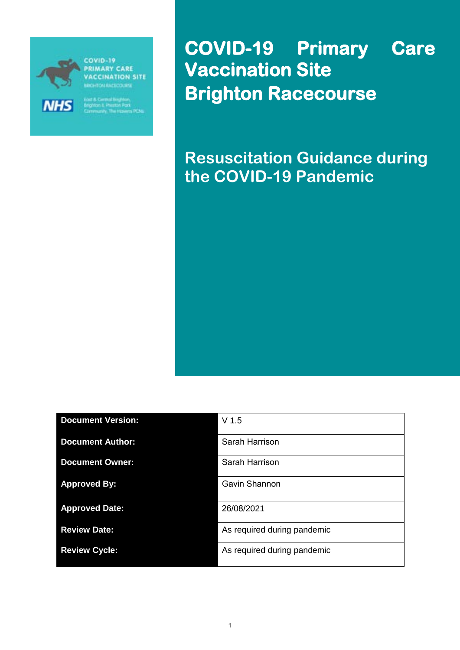

**NHS** 

**COVID-19 PRIMARY CARE ACCINATION SITE CON EAST COURSE** 

.<br>s POe

**COVID-19 Primary Care Vaccination Site Brighton Racecourse** 

**Resuscitation Guidance during the COVID-19 Pandemic**

| <b>Document Version:</b> | V <sub>1.5</sub>            |
|--------------------------|-----------------------------|
| <b>Document Author:</b>  | Sarah Harrison              |
| <b>Document Owner:</b>   | Sarah Harrison              |
| <b>Approved By:</b>      | Gavin Shannon               |
| <b>Approved Date:</b>    | 26/08/2021                  |
| <b>Review Date:</b>      | As required during pandemic |
| <b>Review Cycle:</b>     | As required during pandemic |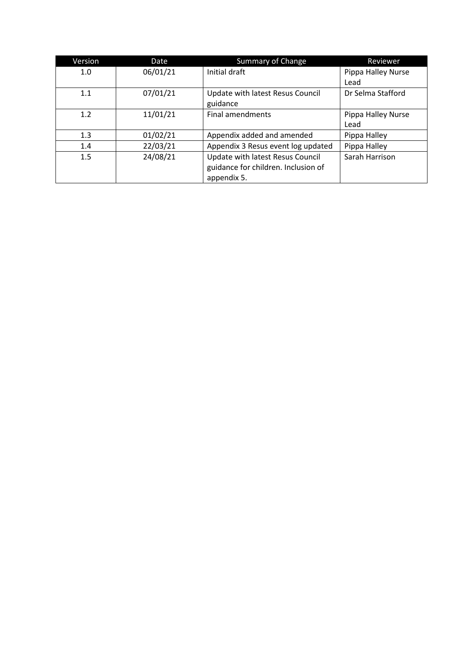| Version | Date     | <b>Summary of Change</b>            | Reviewer           |
|---------|----------|-------------------------------------|--------------------|
| 1.0     | 06/01/21 | Initial draft                       | Pippa Halley Nurse |
|         |          |                                     | Lead               |
| 1.1     | 07/01/21 | Update with latest Resus Council    | Dr Selma Stafford  |
|         |          | guidance                            |                    |
| 1.2     | 11/01/21 | <b>Final amendments</b>             | Pippa Halley Nurse |
|         |          |                                     | Lead               |
| 1.3     | 01/02/21 | Appendix added and amended          | Pippa Halley       |
| 1.4     | 22/03/21 | Appendix 3 Resus event log updated  | Pippa Halley       |
| 1.5     | 24/08/21 | Update with latest Resus Council    | Sarah Harrison     |
|         |          | guidance for children. Inclusion of |                    |
|         |          | appendix 5.                         |                    |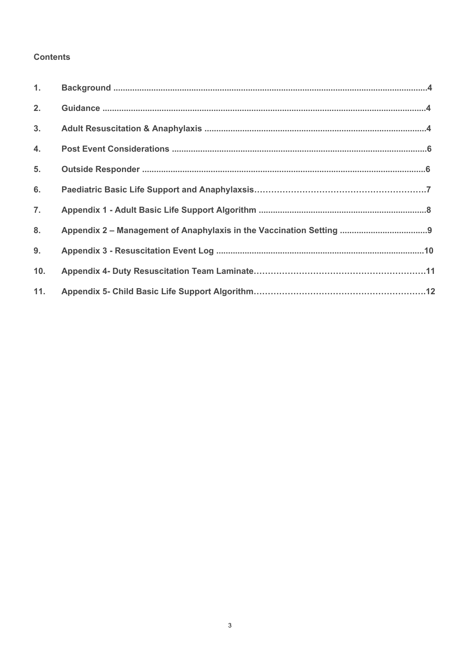#### **Contents**

| 1.             |  |
|----------------|--|
| 2.             |  |
| 3.             |  |
| 4.             |  |
| 5 <sub>1</sub> |  |
| 6.             |  |
| 7.             |  |
| 8.             |  |
| 9.             |  |
| 10.            |  |
| 11.            |  |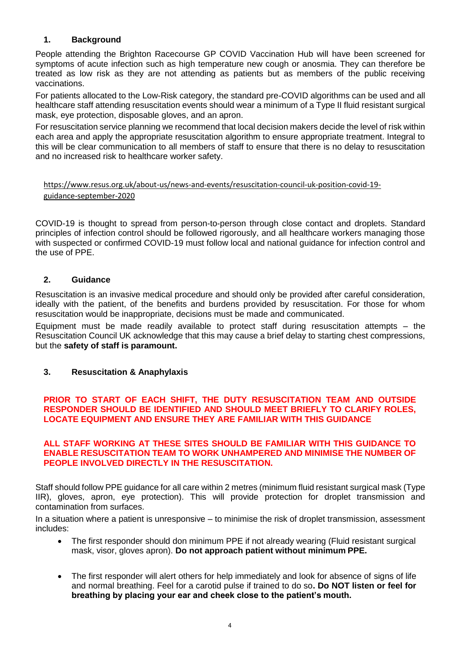#### <span id="page-3-0"></span>**1. Background**

People attending the Brighton Racecourse GP COVID Vaccination Hub will have been screened for symptoms of acute infection such as high temperature new cough or anosmia. They can therefore be treated as low risk as they are not attending as patients but as members of the public receiving vaccinations.

For patients allocated to the Low-Risk category, the standard pre-COVID algorithms can be used and all healthcare staff attending resuscitation events should wear a minimum of a Type II fluid resistant surgical mask, eye protection, disposable gloves, and an apron.

For resuscitation service planning we recommend that local decision makers decide the level of risk within each area and apply the appropriate resuscitation algorithm to ensure appropriate treatment. Integral to this will be clear communication to all members of staff to ensure that there is no delay to resuscitation and no increased risk to healthcare worker safety.

#### [https://www.resus.org.uk/about-us/news-and-events/resuscitation-council-uk-position-covid-19](https://www.resus.org.uk/about-us/news-and-events/resuscitation-council-uk-position-covid-19-guidance-september-2020) [guidance-september-2020](https://www.resus.org.uk/about-us/news-and-events/resuscitation-council-uk-position-covid-19-guidance-september-2020)

COVID-19 is thought to spread from person-to-person through close contact and droplets. Standard principles of infection control should be followed rigorously, and all healthcare workers managing those with suspected or confirmed COVID-19 must follow local and national guidance for infection control and the use of PPE.

#### **2. Guidance**

Resuscitation is an invasive medical procedure and should only be provided after careful consideration, ideally with the patient, of the benefits and burdens provided by resuscitation. For those for whom resuscitation would be inappropriate, decisions must be made and communicated.

Equipment must be made readily available to protect staff during resuscitation attempts – the Resuscitation Council UK acknowledge that this may cause a brief delay to starting chest compressions, but the **safety of staff is paramount.**

#### <span id="page-3-1"></span>**3. Resuscitation & Anaphylaxis**

#### **PRIOR TO START OF EACH SHIFT, THE DUTY RESUSCITATION TEAM AND OUTSIDE RESPONDER SHOULD BE IDENTIFIED AND SHOULD MEET BRIEFLY TO CLARIFY ROLES, LOCATE EQUIPMENT AND ENSURE THEY ARE FAMILIAR WITH THIS GUIDANCE**

#### **ALL STAFF WORKING AT THESE SITES SHOULD BE FAMILIAR WITH THIS GUIDANCE TO ENABLE RESUSCITATION TEAM TO WORK UNHAMPERED AND MINIMISE THE NUMBER OF PEOPLE INVOLVED DIRECTLY IN THE RESUSCITATION.**

Staff should follow PPE guidance for all care within 2 metres (minimum fluid resistant surgical mask (Type IIR), gloves, apron, eye protection). This will provide protection for droplet transmission and contamination from surfaces.

In a situation where a patient is unresponsive – to minimise the risk of droplet transmission, assessment includes:

- The first responder should don minimum PPE if not already wearing (Fluid resistant surgical mask, visor, gloves apron). **Do not approach patient without minimum PPE.**
- The first responder will alert others for help immediately and look for absence of signs of life and normal breathing. Feel for a carotid pulse if trained to do so**. Do NOT listen or feel for breathing by placing your ear and cheek close to the patient's mouth.**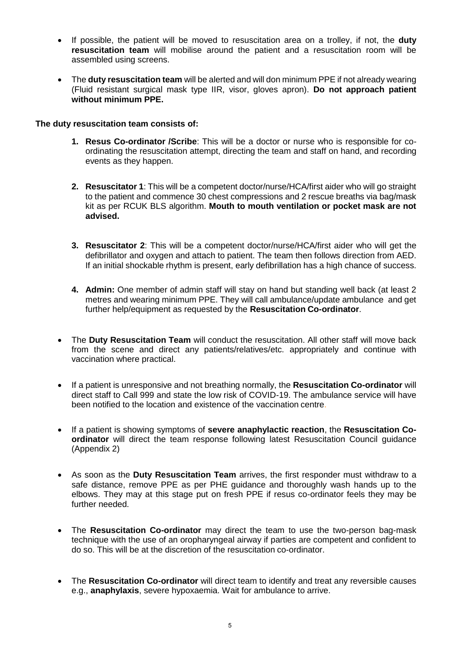- If possible, the patient will be moved to resuscitation area on a trolley, if not, the **duty resuscitation team** will mobilise around the patient and a resuscitation room will be assembled using screens.
- The **duty resuscitation team** will be alerted and will don minimum PPE if not already wearing (Fluid resistant surgical mask type IIR, visor, gloves apron). **Do not approach patient without minimum PPE.**

#### **The duty resuscitation team consists of:**

- **1. Resus Co-ordinator /Scribe**: This will be a doctor or nurse who is responsible for coordinating the resuscitation attempt, directing the team and staff on hand, and recording events as they happen.
- **2. Resuscitator 1**: This will be a competent doctor/nurse/HCA/first aider who will go straight to the patient and commence 30 chest compressions and 2 rescue breaths via bag/mask kit as per RCUK BLS algorithm. **Mouth to mouth ventilation or pocket mask are not advised.**
- **3. Resuscitator 2**: This will be a competent doctor/nurse/HCA/first aider who will get the defibrillator and oxygen and attach to patient. The team then follows direction from AED. If an initial shockable rhythm is present, early defibrillation has a high chance of success.
- **4. Admin:** One member of admin staff will stay on hand but standing well back (at least 2 metres and wearing minimum PPE. They will call ambulance/update ambulance and get further help/equipment as requested by the **Resuscitation Co-ordinator**.
- The **Duty Resuscitation Team** will conduct the resuscitation. All other staff will move back from the scene and direct any patients/relatives/etc. appropriately and continue with vaccination where practical.
- If a patient is unresponsive and not breathing normally, the **Resuscitation Co-ordinator** will direct staff to Call 999 and state the low risk of COVID-19. The ambulance service will have been notified to the location and existence of the vaccination centre.
- If a patient is showing symptoms of **severe anaphylactic reaction**, the **Resuscitation Coordinator** will direct the team response following latest Resuscitation Council guidance (Appendix 2)
- As soon as the **Duty Resuscitation Team** arrives, the first responder must withdraw to a safe distance, remove PPE as per PHE guidance and thoroughly wash hands up to the elbows. They may at this stage put on fresh PPE if resus co-ordinator feels they may be further needed.
- The **Resuscitation Co-ordinator** may direct the team to use the two-person bag-mask technique with the use of an oropharyngeal airway if parties are competent and confident to do so. This will be at the discretion of the resuscitation co-ordinator.
- The **Resuscitation Co-ordinator** will direct team to identify and treat any reversible causes e.g., **anaphylaxis**, severe hypoxaemia. Wait for ambulance to arrive.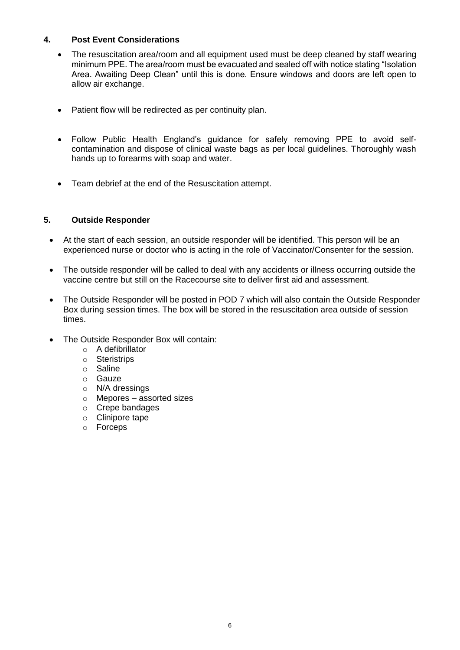#### <span id="page-5-0"></span>**4. Post Event Considerations**

- The resuscitation area/room and all equipment used must be deep cleaned by staff wearing minimum PPE. The area/room must be evacuated and sealed off with notice stating "Isolation Area. Awaiting Deep Clean" until this is done. Ensure windows and doors are left open to allow air exchange.
- Patient flow will be redirected as per continuity plan.
- Follow Public Health England's guidance for safely removing PPE to avoid selfcontamination and dispose of clinical waste bags as per local guidelines. Thoroughly wash hands up to forearms with soap and water.
- Team debrief at the end of the Resuscitation attempt.

#### <span id="page-5-1"></span>**5. Outside Responder**

- At the start of each session, an outside responder will be identified. This person will be an experienced nurse or doctor who is acting in the role of Vaccinator/Consenter for the session.
- The outside responder will be called to deal with any accidents or illness occurring outside the vaccine centre but still on the Racecourse site to deliver first aid and assessment.
- The Outside Responder will be posted in POD 7 which will also contain the Outside Responder Box during session times. The box will be stored in the resuscitation area outside of session times.
- The Outside Responder Box will contain:
	- o A defibrillator
	- o Steristrips
	- o Saline
	- o Gauze
	- o N/A dressings
	- o Mepores assorted sizes
	- o Crepe bandages
	- o Clinipore tape
	- o Forceps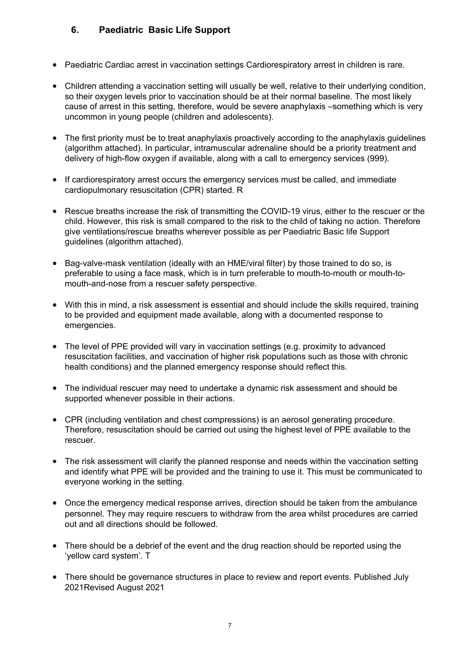### **6. Paediatric Basic Life Support**

- Paediatric Cardiac arrest in vaccination settings Cardiorespiratory arrest in children is rare.
- Children attending a vaccination setting will usually be well, relative to their underlying condition, so their oxygen levels prior to vaccination should be at their normal baseline. The most likely cause of arrest in this setting, therefore, would be severe anaphylaxis –something which is very uncommon in young people (children and adolescents).
- The first priority must be to treat anaphylaxis proactively according to the anaphylaxis guidelines (algorithm attached). In particular, intramuscular adrenaline should be a priority treatment and delivery of high-flow oxygen if available, along with a call to emergency services (999).
- If cardiorespiratory arrest occurs the emergency services must be called, and immediate cardiopulmonary resuscitation (CPR) started. R
- Rescue breaths increase the risk of transmitting the COVID-19 virus, either to the rescuer or the child. However, this risk is small compared to the risk to the child of taking no action. Therefore give ventilations/rescue breaths wherever possible as per Paediatric Basic life Support guidelines (algorithm attached).
- Bag-valve-mask ventilation (ideally with an HME/viral filter) by those trained to do so, is preferable to using a face mask, which is in turn preferable to mouth-to-mouth or mouth-tomouth-and-nose from a rescuer safety perspective.
- With this in mind, a risk assessment is essential and should include the skills required, training to be provided and equipment made available, along with a documented response to emergencies.
- The level of PPE provided will vary in vaccination settings (e.g. proximity to advanced resuscitation facilities, and vaccination of higher risk populations such as those with chronic health conditions) and the planned emergency response should reflect this.
- The individual rescuer may need to undertake a dynamic risk assessment and should be supported whenever possible in their actions.
- CPR (including ventilation and chest compressions) is an aerosol generating procedure. Therefore, resuscitation should be carried out using the highest level of PPE available to the rescuer.
- The risk assessment will clarify the planned response and needs within the vaccination setting and identify what PPE will be provided and the training to use it. This must be communicated to everyone working in the setting.
- Once the emergency medical response arrives, direction should be taken from the ambulance personnel. They may require rescuers to withdraw from the area whilst procedures are carried out and all directions should be followed.
- There should be a debrief of the event and the drug reaction should be reported using the 'yellow card system'. T
- There should be governance structures in place to review and report events. Published July 2021Revised August 2021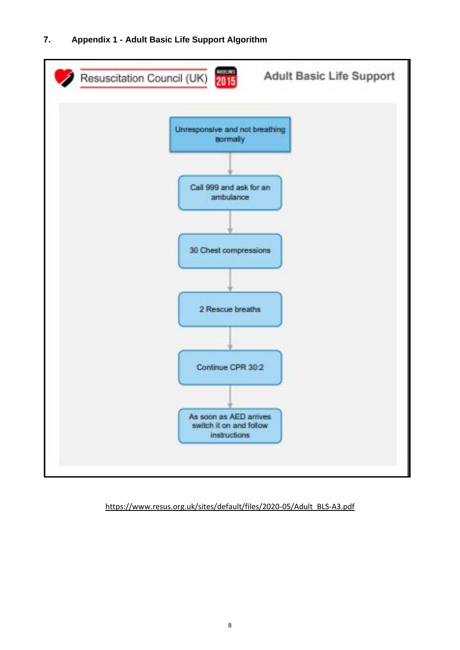<span id="page-7-0"></span>

#### [https://www.resus.org.uk/sites/default/files/2020-05/Adult\\_BLS-A3.pdf](https://www.resus.org.uk/sites/default/files/2020-05/Adult_BLS-A3.pdf)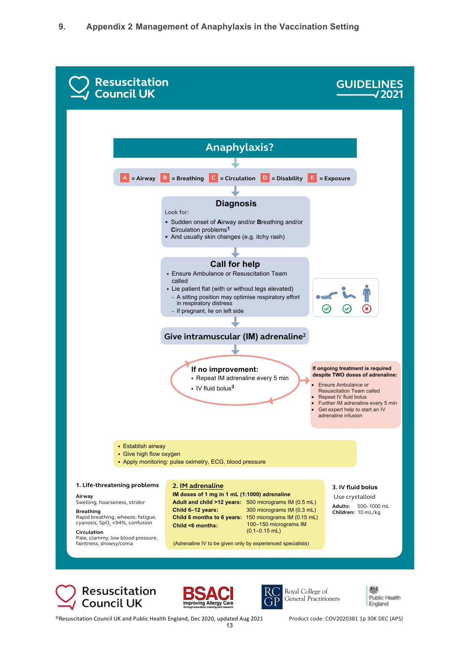









©Resuscitation Council UK and Public Health England, Dec 2020, updated Aug 2021 Product code: COV2020381 1p 30K DEC (APS)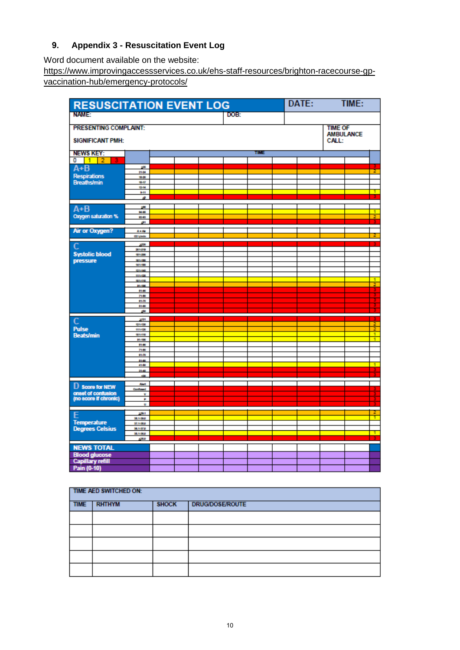### <span id="page-9-0"></span>**9. Appendix 3 - Resuscitation Event Log**

Word document available on the website:

[https://www.improvingaccessservices.co.uk/ehs-staff-resources/brighton-racecourse-gp](https://www.improvingaccessservices.co.uk/ehs-staff-resources/brighton-racecourse-gp-vaccination-hub/emergency-protocols/)[vaccination-hub/emergency-protocols/](https://www.improvingaccessservices.co.uk/ehs-staff-resources/brighton-racecourse-gp-vaccination-hub/emergency-protocols/)

| DATE:<br>TIME:<br><b>RESUSCITATION EVENT LOG</b>                   |                                 |  |      |  |  |  |  |  |  |               |
|--------------------------------------------------------------------|---------------------------------|--|------|--|--|--|--|--|--|---------------|
| <b>NAME:</b><br>DOB:                                               |                                 |  |      |  |  |  |  |  |  |               |
| <b>PRESENTING COMPLAINT:</b><br><b>TIME OF</b><br><b>AMBULANCE</b> |                                 |  |      |  |  |  |  |  |  |               |
| <b>SIGNIFICANT PMH:</b><br>CALL:                                   |                                 |  |      |  |  |  |  |  |  |               |
| <b>NEWS KEY:</b>                                                   |                                 |  | TIME |  |  |  |  |  |  |               |
| 0<br>$1 \t 2$                                                      |                                 |  |      |  |  |  |  |  |  |               |
| $A + B$                                                            | zm.<br>21-04                    |  |      |  |  |  |  |  |  | ż             |
| <b>Respirations</b>                                                | 19.00                           |  |      |  |  |  |  |  |  |               |
| Breaths/min                                                        | 18-17<br>13-14                  |  |      |  |  |  |  |  |  |               |
|                                                                    | \$41                            |  |      |  |  |  |  |  |  | т             |
|                                                                    | d.                              |  |      |  |  |  |  |  |  |               |
| $A + B$                                                            | <b>SM</b>                       |  |      |  |  |  |  |  |  |               |
| Oxygen saturation %                                                | <b>NH</b><br>83.83              |  |      |  |  |  |  |  |  | T<br>2        |
|                                                                    | 21                              |  |      |  |  |  |  |  |  |               |
| Air or Oxygen?                                                     | <b>A-AF</b>                     |  |      |  |  |  |  |  |  |               |
|                                                                    | <b>OZ Limbs</b>                 |  |      |  |  |  |  |  |  | 2             |
| C                                                                  | <b>STOR</b>                     |  |      |  |  |  |  |  |  |               |
| <b>Systolic blood</b>                                              | 201010<br>121-200               |  |      |  |  |  |  |  |  |               |
| pressure                                                           | 981-100                         |  |      |  |  |  |  |  |  |               |
|                                                                    | 141-180<br>121-140              |  |      |  |  |  |  |  |  |               |
|                                                                    | 915-120                         |  |      |  |  |  |  |  |  |               |
|                                                                    | 981-198<br>\$1,100              |  |      |  |  |  |  |  |  | D<br>z.       |
|                                                                    | \$1.00                          |  |      |  |  |  |  |  |  | в             |
|                                                                    | 7140                            |  |      |  |  |  |  |  |  | Ŧ             |
|                                                                    | 81-70<br>51-80                  |  |      |  |  |  |  |  |  | Ŧ             |
|                                                                    | -sta                            |  |      |  |  |  |  |  |  | 3             |
| $\overline{c}$                                                     | 5131                            |  |      |  |  |  |  |  |  |               |
| <b>Pulse</b>                                                       | 121-130<br>915-120              |  |      |  |  |  |  |  |  | $\frac{2}{2}$ |
| <b>Beats/min</b>                                                   | 101-110                         |  |      |  |  |  |  |  |  |               |
|                                                                    | 31-100<br>21-90                 |  |      |  |  |  |  |  |  | Ŧ.            |
|                                                                    | 7140                            |  |      |  |  |  |  |  |  |               |
|                                                                    | 81-70<br>9140                   |  |      |  |  |  |  |  |  |               |
|                                                                    | 41-50                           |  |      |  |  |  |  |  |  | T             |
|                                                                    | 2140<br>œ                       |  |      |  |  |  |  |  |  |               |
|                                                                    |                                 |  |      |  |  |  |  |  |  |               |
| D score for NEW                                                    | <b>Alet</b><br><b>Confirmed</b> |  |      |  |  |  |  |  |  |               |
| onset of confusion<br>(no score if chronic)                        | v                               |  |      |  |  |  |  |  |  |               |
|                                                                    | ۴<br>u                          |  |      |  |  |  |  |  |  |               |
|                                                                    | 538.1                           |  |      |  |  |  |  |  |  |               |
| E                                                                  | 38.1-39.0                       |  |      |  |  |  |  |  |  | ۰             |
| <b>Temperature</b>                                                 | 17.1-38.0<br>38.1-37.0          |  |      |  |  |  |  |  |  |               |
| <b>Degrees Celsius</b>                                             | 35.1-36.0                       |  |      |  |  |  |  |  |  |               |
|                                                                    | 588                             |  |      |  |  |  |  |  |  |               |
| <b>NEWS TOTAL</b>                                                  |                                 |  |      |  |  |  |  |  |  |               |
| <b>Blood glucose</b>                                               |                                 |  |      |  |  |  |  |  |  |               |
| <b>Capillary refill</b>                                            |                                 |  |      |  |  |  |  |  |  |               |
| Pain (0-10)                                                        |                                 |  |      |  |  |  |  |  |  |               |

| TIME AED SWITCHED ON: |               |              |                        |  |  |
|-----------------------|---------------|--------------|------------------------|--|--|
| <b>TIME</b>           | <b>RHTHYM</b> | <b>SHOCK</b> | <b>DRUG/DOSE/ROUTE</b> |  |  |
|                       |               |              |                        |  |  |
|                       |               |              |                        |  |  |
|                       |               |              |                        |  |  |
|                       |               |              |                        |  |  |
|                       |               |              |                        |  |  |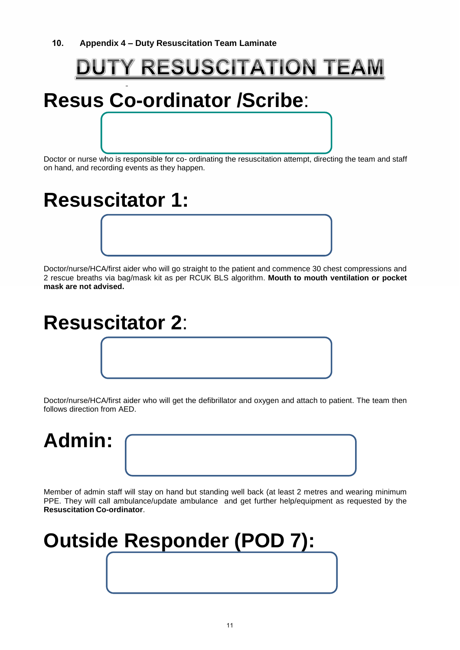## <span id="page-10-0"></span>**DUTY RESUSCITATION TEAM**

# **Resus Co-ordinator /Scribe**:

Doctor or nurse who is responsible for co- ordinating the resuscitation attempt, directing the team and staff on hand, and recording events as they happen.

# **Resuscitator 1:**

Doctor/nurse/HCA/first aider who will go straight to the patient and commence 30 chest compressions and 2 rescue breaths via bag/mask kit as per RCUK BLS algorithm. **Mouth to mouth ventilation or pocket mask are not advised.**

## **Resuscitator 2**:

Doctor/nurse/HCA/first aider who will get the defibrillator and oxygen and attach to patient. The team then follows direction from AED.



Member of admin staff will stay on hand but standing well back (at least 2 metres and wearing minimum PPE. They will call ambulance/update ambulance and get further help/equipment as requested by the **Resuscitation Co-ordinator**.